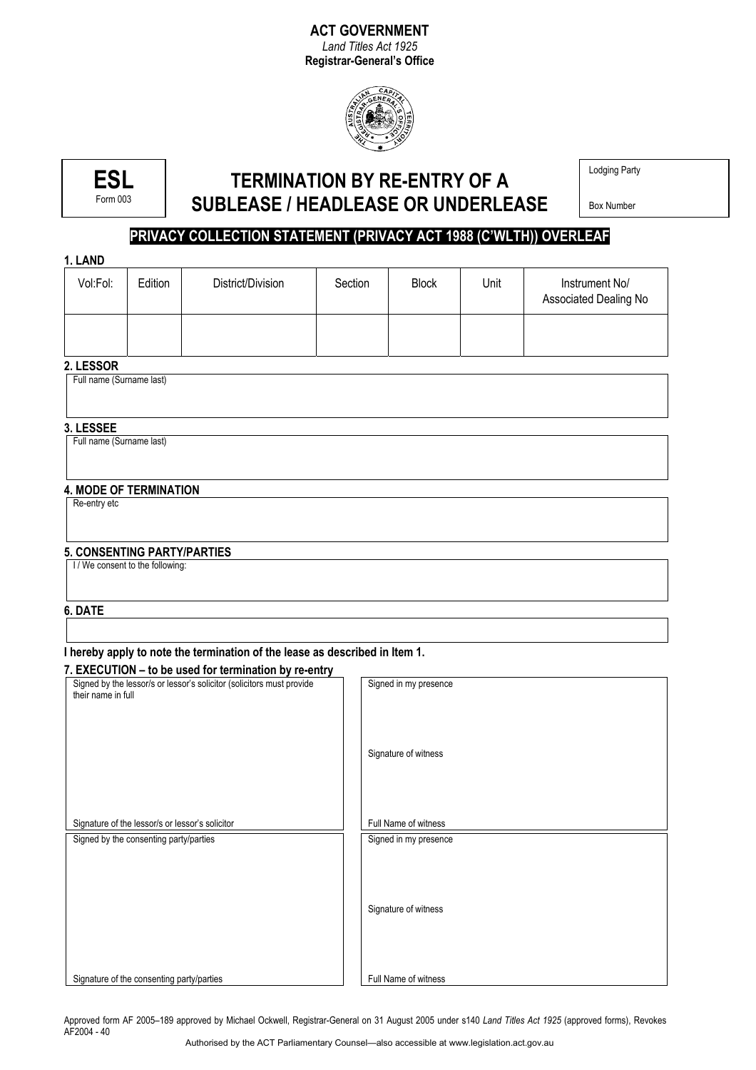# **ACT GOVERNMENT**

*Land Titles Act 1925*  **Registrar-General's Office**



**ESL**  Form 003

# **TERMINATION BY RE-ENTRY OF A SUBLEASE / HEADLEASE OR UNDERLEASE**

Lodging Party

Box Number

## **PRIVACY COLLECTION STATEMENT (PRIVACY ACT 1988 (C'WLTH)) OVERLEAF**

#### **1. LAND**

| Vol:Fol:                              | Edition | District/Division | Section | <b>Block</b> | Unit | Instrument No/<br>Associated Dealing No |  |  |  |
|---------------------------------------|---------|-------------------|---------|--------------|------|-----------------------------------------|--|--|--|
|                                       |         |                   |         |              |      |                                         |  |  |  |
| 2. LESSOR<br>Full name (Surname last) |         |                   |         |              |      |                                         |  |  |  |
|                                       |         |                   |         |              |      |                                         |  |  |  |
| 3. LESSEE                             |         |                   |         |              |      |                                         |  |  |  |
| Full name (Surname last)              |         |                   |         |              |      |                                         |  |  |  |

## **4. MODE OF TERMINATION**

Re-entry etc

#### **5. CONSENTING PARTY/PARTIES**

I / We consent to the following:

#### **6. DATE**

#### **I hereby apply to note the termination of the lease as described in Item 1.**

| Signed by the lessor/s or lessor's solicitor (solicitors must provide<br>their name in full | Signed in my presence                         |
|---------------------------------------------------------------------------------------------|-----------------------------------------------|
|                                                                                             | Signature of witness                          |
| Signature of the lessor/s or lessor's solicitor<br>Signed by the consenting party/parties   | Full Name of witness<br>Signed in my presence |
|                                                                                             | Signature of witness                          |
| Signature of the consenting party/parties                                                   | Full Name of witness                          |

Approved form AF 2005–189 approved by Michael Ockwell, Registrar-General on 31 August 2005 under s140 *Land Titles Act 1925* (approved forms), Revokes AF2004 - 40